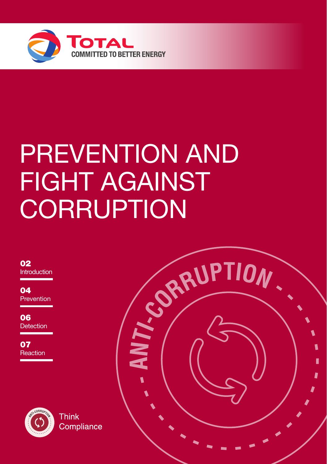

# PREVENTION AND FIGHT AGAINST

**Introduction** 02

**Prevention**  $04$ 

**Detection** 06

**Reaction** 07



**Think** Compliance

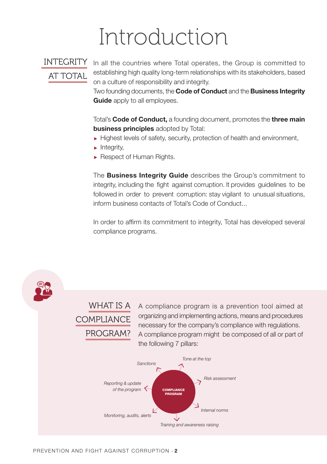# Introduction

### INTEGRITY AT TOTAL

In all the countries where Total operates, the Group is committed to establishing high quality long-term relationships with its stakeholders, based on a culture of responsibility and integrity.

Two founding documents, the Code of Conduct and the Business Integrity **Guide** apply to all employees.

Total's Code of Conduct, a founding document, promotes the three main business principles adopted by Total:

- $\blacktriangleright$  Highest levels of safety, security, protection of health and environment,
- $\blacktriangleright$  Integrity,
- Respect of Human Rights.

The **Business Integrity Guide** describes the Group's commitment to integrity, including the fight against corruption. lt provides guidelines to be followed in order to prevent corruption: stay vigilant to unusual situations, inform business contacts of Total's Code of Conduct...

In order to affirm its commitment to integrity, Total has developed several compliance programs.

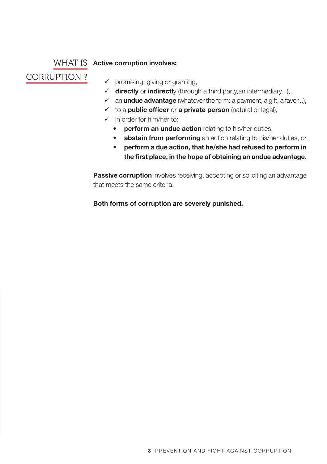#### WHAT IS Active corruption involves:

### CORRUPTION ?

 $\checkmark$  promising, giving or granting,

- $\checkmark$  directly or indirectly (through a third party, an intermediary...),
- $\checkmark$  an **undue advantage** (whatever the form: a payment, a gift, a favor...),
- $\checkmark$  to a **public officer** or **a private person** (natural or legal),
- $\checkmark$  in order for him/her to:
	- perform an undue action relating to his/her duties,
	- abstain from performing an action relating to his/her duties, or
	- perform a due action, that he/she had refused to perform in the first place, in the hope of obtaining an undue advantage.

**Passive corruption** involves receiving, accepting or soliciting an advantage that meets the same criteria.

Both forms of corruption are severely punished.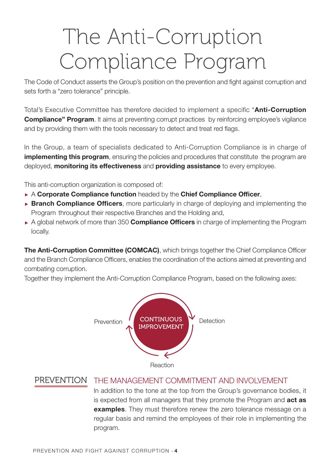# The Anti-Corruption Compliance Program

The Code of Conduct asserts the Group's position on the prevention and fight against corruption and sets forth a "zero tolerance" principle.

Total's Executive Committee has therefore decided to implement a specific "Anti-Corruption **Compliance" Program.** It aims at preventing corrupt practices by reinforcing employee's vigilance and by providing them with the tools necessary to detect and treat red flags.

ln the Group, a team of specialists dedicated to Anti-Corruption Compliance is in charge of implementing this program, ensuring the policies and procedures that constitute the program are deployed, monitoring its effectiveness and providing assistance to every employee.

This anti-corruption organization is composed of:

- $\triangleright$  A Corporate Compliance function headed by the Chief Compliance Officer,
- **Branch Compliance Officers**, more particularly in charge of deploying and implementing the Program throughout their respective Branches and the Holding and,
- $\triangleright$  A global network of more than 350 **Compliance Officers** in charge of implementing the Program locally.

The Anti-Corruption Committee (COMCAC), which brings together the Chief Compliance Officer and the Branch Compliance Officers, enables the coordination of the actions aimed at preventing and combating corruption.

Together they implement the Anti-Corruption Compliance Program, based on the following axes:



Reaction

#### PREVENTION THE MANAGEMENT COMMITMENT AND INVOLVEMENT

ln addition to the tone at the top from the Group's governance bodies, it is expected from all managers that they promote the Program and **act as** examples. They must therefore renew the zero tolerance message on a regular basis and remind the employees of their role in implementing the program.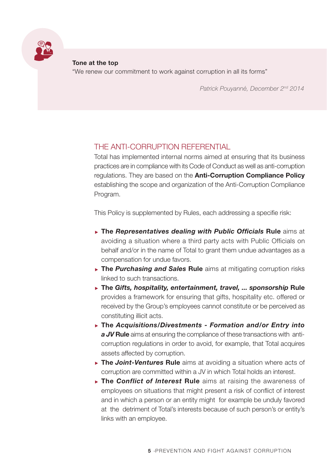

Tone at the top "We renew our commitment to work against corruption in all its forms"

*Patrick Pouyanné, December 2nd 2014*

#### THE ANTI-CORRUPTION REFERENTIAL

Total has implemented internal norms aimed at ensuring that its business practices are in compliance with its Code of Conduct as well as anti-corruption regulations. They are based on the **Anti-Corruption Compliance Policy** establishing the scope and organization of the Anti-Corruption Compliance Program.

This Policy is supplemented by Rules, each addressing a specifie risk:

- The *Representatives dealing with Public Officials* Rule aims at avoiding a situation where a third party acts with Public Officials on behalf and/or in the name of Total to grant them undue advantages as a compensation for undue favors.
- **► The Purchasing and Sales Rule** aims at mitigating corruption risks linked to such transactions.
- ▶ The *Gifts, hospitality, entertainment, travel, ... sponsorship* Rule provides a framework for ensuring that gifts, hospitality etc. offered or received by the Group's employees cannot constitute or be perceived as constituting illicit acts.
- The *Acquisitions/Divestments Formation and/or Entry into a JV* Rule aims at ensuring the compliance of these transactions with anticorruption regulations in order to avoid, for example, that Total acquires assets affected by corruption.
- ▶ The *Joint-Ventures* Rule aims at avoiding a situation where acts of corruption are committed within a JV in which Total holds an interest.
- The *Conflict of lnterest* Rule aims at raising the awareness of employees on situations that might present a risk of conflict of interest and in which a person or an entity might for example be unduly favored at the detriment of Total's interests because of such person's or entity's links with an employee.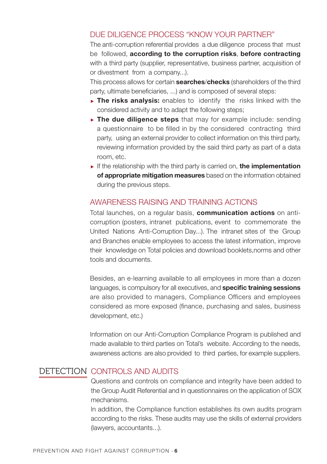#### DUE DILIGENCE PROCESS "KNOW YOUR PARTNER"

The anti-corruption referential provides a due diligence process that must be followed, according to the corruption risks, before contracting with a third party (supplier, representative, business partner, acquisition of or divestment from a company...).

This process allows for certain **searches/checks** (shareholders of the third party, ultimate beneficiaries, ...) and is composed of several steps:

- $\triangleright$  The risks analysis: enables to identify the risks linked with the considered activity and to adapt the following steps;
- $\triangleright$  The due diligence steps that may for example include: sending a questionnaire to be filled in by the considered contracting third party, using an external provider to collect information on this third party, reviewing information provided by the said third party as part of a data room, etc.
- If the relationship with the third party is carried on, the implementation of appropriate mitigation measures based on the information obtained during the previous steps.

#### AWARENESS RAISING AND TRAINING ACTIONS

Total launches, on a regular basis, communication actions on anticorruption (posters, intranet publications, event to commemorate the United Nations Anti-Corruption Day...). The intranet sites of the Group and Branches enable employees to access the latest information, improve their knowledge on Total policies and download booklets,norms and other tools and documents.

Besides, an e-learning available to all employees in more than a dozen languages, is compulsory for all executives, and specific training sessions are also provided to managers, Compliance Officers and employees considered as more exposed (finance, purchasing and sales, business development, etc.)

Information on our Anti-Corruption Compliance Program is published and made available to third parties on Total's website. According to the needs, awareness actions are also provided to third parties, for example suppliers.

#### DETECTION CONTROLS AND AUDITS

Questions and controls on compliance and integrity have been added to the Group Audit Referential and in questionnaires on the application of SOX mechanisms.

ln addition, the Compliance function establishes its own audits program according to the risks. These audits may use the skills of external providers (lawyers, accountants...).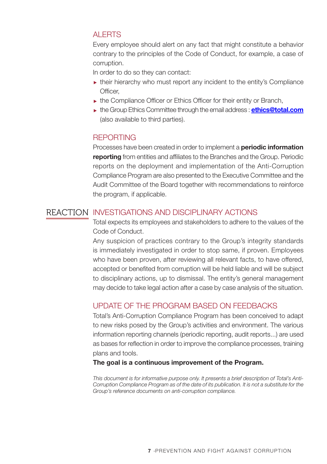#### **ALERTS**

Every employee should alert on any fact that might constitute a behavior contrary to the principles of the Code of Conduct, for example, a case of corruption.

In order to do so they can contact:

- $\triangleright$  their hierarchy who must report any incident to the entity's Compliance Officer,
- ► the Compliance Officer or Ethics Officer for their entity or Branch,
- the Group Ethics Committee through the email address : **ethics@total.com** (also available to third parties).

#### **REPORTING**

Processes have been created in order to implement a **periodic information** reporting from entities and affiliates to the Branches and the Group. Periodic reports on the deployment and implementation of the Anti-Corruption Compliance Program are also presented to the Executive Committee and the Audit Committee of the Board together with recommendations to reinforce the program, if applicable.

#### REACTION INVESTIGATIONS AND DISCIPLINARY ACTIONS

Total expects its employees and stakeholders to adhere to the values of the Code of Conduct.

Any suspicion of practices contrary to the Group's integrity standards is immediately investigated in order to stop same, if proven. Employees who have been proven, after reviewing all relevant facts, to have offered, accepted or benefited from corruption will be held liable and will be subject to disciplinary actions, up to dismissal. The entity's general management may decide to take legal action after a case by case analysis of the situation.

#### UPDATE OF THE PROGRAM BASED ON FEEDBACKS

Total's Anti-Corruption Compliance Program has been conceived to adapt to new risks posed by the Group's activities and environment. The various information reporting channels (periodic reporting, audit reports...) are used as bases for reflection in order to improve the compliance processes, training plans and tools.

#### The goal is a continuous improvement of the Program.

*This document is for informative purpose only. lt presents a brief description of Total's Anti-Corruption Compliance Program as of the date of its publication. lt is not a substitute for the Group's reference documents on anti-corruption compliance.*